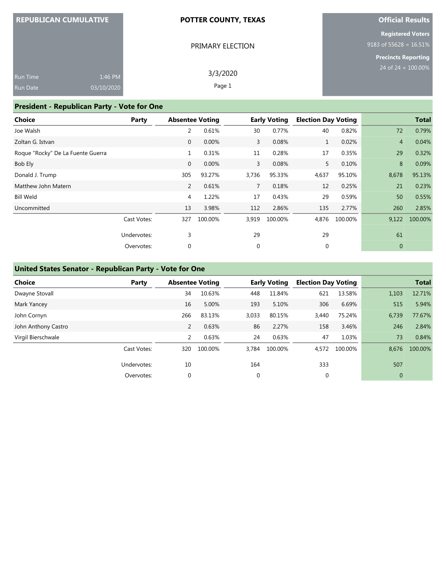| <b>REPUBLICAN CUMULATIVE</b> |  |  |
|------------------------------|--|--|
|                              |  |  |

#### **POTTER COUNTY, TEXAS**

## **Official Results**

**Registered Voters** 9183 of 55628 = 16.51%

**Precincts Reporting**

|                 |            | PRIMARY ELECTION | 91 |
|-----------------|------------|------------------|----|
|                 |            |                  |    |
| Run Time        | 1:46 PM    | 3/3/2020         |    |
| <b>Run Date</b> | 03/10/2020 | Page 1           |    |

### **President - Republican Party - Vote for One**

| <b>Choice</b>                     | Party       | <b>Absentee Voting</b> |         |              | <b>Early Voting</b> | <b>Election Day Voting</b> |         |                | <b>Total</b> |
|-----------------------------------|-------------|------------------------|---------|--------------|---------------------|----------------------------|---------|----------------|--------------|
| Joe Walsh                         |             | 2                      | 0.61%   | 30           | 0.77%               | 40                         | 0.82%   | 72             | 0.79%        |
| Zoltan G. Istvan                  |             | $\mathbf{0}$           | 0.00%   | $\mathbf{3}$ | 0.08%               | $\mathbf{1}$               | 0.02%   | $\overline{4}$ | 0.04%        |
| Roque "Rocky" De La Fuente Guerra |             | $\mathbf{1}$           | 0.31%   | 11           | 0.28%               | 17                         | 0.35%   | 29             | 0.32%        |
| Bob Ely                           |             | $\mathbf{0}$           | 0.00%   | 3            | 0.08%               | 5                          | 0.10%   | 8              | 0.09%        |
| Donald J. Trump                   |             | 305                    | 93.27%  | 3,736        | 95.33%              | 4,637                      | 95.10%  | 8,678          | 95.13%       |
| Matthew John Matern               |             | $\overline{2}$         | 0.61%   | $7^{\circ}$  | 0.18%               | 12                         | 0.25%   | 21             | 0.23%        |
| <b>Bill Weld</b>                  |             | 4                      | 1.22%   | 17           | 0.43%               | 29                         | 0.59%   | 50             | 0.55%        |
| Uncommitted                       |             | 13                     | 3.98%   | 112          | 2.86%               | 135                        | 2.77%   | 260            | 2.85%        |
|                                   | Cast Votes: | 327                    | 100.00% | 3,919        | 100.00%             | 4,876                      | 100.00% | 9,122          | 100.00%      |
|                                   | Undervotes: | 3                      |         | 29           |                     | 29                         |         | 61             |              |
|                                   | Overvotes:  | 0                      |         | $\mathbf 0$  |                     | 0                          |         | $\mathbf{0}$   |              |

#### **United States Senator - Republican Party - Vote for One**

| <b>Choice</b>       | Party       | <b>Absentee Voting</b> |         |       | <b>Early Voting</b> | <b>Election Day Voting</b> |         |              | <b>Total</b> |
|---------------------|-------------|------------------------|---------|-------|---------------------|----------------------------|---------|--------------|--------------|
| Dwayne Stovall      |             | 34                     | 10.63%  | 448   | 11.84%              | 621                        | 13.58%  | 1,103        | 12.71%       |
| Mark Yancey         |             | 16                     | 5.00%   | 193   | 5.10%               | 306                        | 6.69%   | 515          | 5.94%        |
| John Cornyn         |             | 266                    | 83.13%  | 3,033 | 80.15%              | 3,440                      | 75.24%  | 6,739        | 77.67%       |
| John Anthony Castro |             | 2                      | 0.63%   | 86    | 2.27%               | 158                        | 3.46%   | 246          | 2.84%        |
| Virgil Bierschwale  |             | 2                      | 0.63%   | 24    | 0.63%               | 47                         | 1.03%   | 73           | 0.84%        |
|                     | Cast Votes: | 320                    | 100.00% | 3.784 | 100.00%             | 4,572                      | 100.00% | 8,676        | 100.00%      |
|                     | Undervotes: | 10                     |         | 164   |                     | 333                        |         | 507          |              |
|                     | Overvotes:  | 0                      |         | 0     |                     | 0                          |         | $\mathbf{0}$ |              |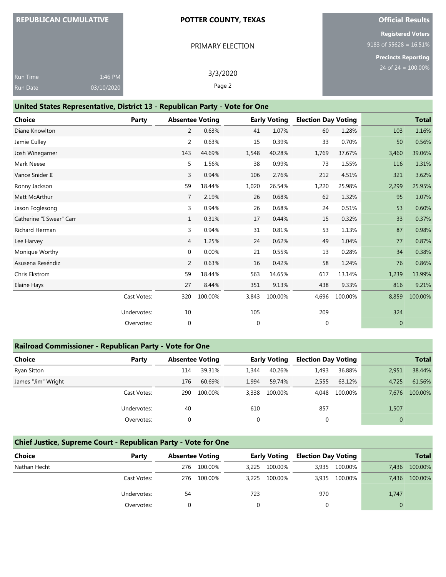## **REPUBLICAN CUMULATIVE**

#### **POTTER COUNTY, TEXAS**

PRIMARY ELECTION

## **Official Results**

**Registered Voters** 9183 of 55628 = 16.51%

**Precincts Reporting**

| <b>Run Time</b> | 1:46 PM    |
|-----------------|------------|
| <b>Run Date</b> | 03/10/2020 |

3/3/2020 Page 2

#### **United States Representative, District 13 - Republican Party - Vote for One**

| <b>Choice</b>            | Party       | <b>Absentee Voting</b> |         |              | <b>Early Voting</b> | <b>Election Day Voting</b> |         |              | <b>Total</b> |
|--------------------------|-------------|------------------------|---------|--------------|---------------------|----------------------------|---------|--------------|--------------|
| Diane Knowlton           |             | 2                      | 0.63%   | 41           | 1.07%               | 60                         | 1.28%   | 103          | 1.16%        |
| Jamie Culley             |             | $\overline{2}$         | 0.63%   | 15           | 0.39%               | 33                         | 0.70%   | 50           | 0.56%        |
| Josh Winegarner          |             | 143                    | 44.69%  | 1,548        | 40.28%              | 1,769                      | 37.67%  | 3,460        | 39.06%       |
| Mark Neese               |             | 5                      | 1.56%   | 38           | 0.99%               | 73                         | 1.55%   | 116          | 1.31%        |
| Vance Snider II          |             | $\overline{3}$         | 0.94%   | 106          | 2.76%               | 212                        | 4.51%   | 321          | 3.62%        |
| Ronny Jackson            |             | 59                     | 18.44%  | 1,020        | 26.54%              | 1,220                      | 25.98%  | 2,299        | 25.95%       |
| Matt McArthur            |             | $\overline{7}$         | 2.19%   | 26           | 0.68%               | 62                         | 1.32%   | 95           | 1.07%        |
| Jason Foglesong          |             | 3                      | 0.94%   | 26           | 0.68%               | 24                         | 0.51%   | 53           | 0.60%        |
| Catherine "I Swear" Carr |             | $\mathbf{1}$           | 0.31%   | 17           | 0.44%               | 15                         | 0.32%   | 33           | 0.37%        |
| <b>Richard Herman</b>    |             | 3                      | 0.94%   | 31           | 0.81%               | 53                         | 1.13%   | 87           | 0.98%        |
| Lee Harvey               |             | 4                      | 1.25%   | 24           | 0.62%               | 49                         | 1.04%   | 77           | 0.87%        |
| Monique Worthy           |             | 0                      | 0.00%   | 21           | 0.55%               | 13                         | 0.28%   | 34           | 0.38%        |
| Asusena Reséndiz         |             | 2                      | 0.63%   | 16           | 0.42%               | 58                         | 1.24%   | 76           | 0.86%        |
| Chris Ekstrom            |             | 59                     | 18.44%  | 563          | 14.65%              | 617                        | 13.14%  | 1,239        | 13.99%       |
| Elaine Hays              |             | 27                     | 8.44%   | 351          | 9.13%               | 438                        | 9.33%   | 816          | 9.21%        |
|                          | Cast Votes: | 320                    | 100.00% | 3,843        | 100.00%             | 4,696                      | 100.00% | 8,859        | 100.00%      |
|                          | Undervotes: | 10                     |         | 105          |                     | 209                        |         | 324          |              |
|                          | Overvotes:  | $\mathbf{0}$           |         | $\mathbf{0}$ |                     | $\mathbf{0}$               |         | $\mathbf{0}$ |              |

### **Railroad Commissioner - Republican Party - Vote for One**

| <b>Choice</b>      | Party       | <b>Absentee Voting</b> |         |             | <b>Early Voting</b> | <b>Election Day Voting</b> |         |          | <b>Total</b> |
|--------------------|-------------|------------------------|---------|-------------|---------------------|----------------------------|---------|----------|--------------|
| Ryan Sitton        |             | 114                    | 39.31%  | 1.344       | 40.26%              | 1,493                      | 36.88%  | 2,951    | 38.44%       |
| James "Jim" Wright |             | 176                    | 60.69%  | 1,994       | 59.74%              | 2,555                      | 63.12%  | 4,725    | 61.56%       |
|                    | Cast Votes: | 290                    | 100.00% | 3,338       | 100.00%             | 4.048                      | 100.00% | 7.676    | 100.00%      |
|                    | Undervotes: | 40                     |         | 610         |                     | 857                        |         | 1,507    |              |
|                    | Overvotes:  |                        |         | $\mathbf 0$ |                     |                            |         | $\Omega$ |              |

## **Chief Justice, Supreme Court - Republican Party - Vote for One**

| <b>Choice</b> | Party       | <b>Absentee Voting</b> |         | <b>Early Voting</b> |         | <b>Election Day Voting</b> |               | <b>Total</b> |         |
|---------------|-------------|------------------------|---------|---------------------|---------|----------------------------|---------------|--------------|---------|
| Nathan Hecht  |             | 276                    | 100.00% | 3.225               | 100.00% |                            | 3,935 100.00% | 7.436        | 100.00% |
|               | Cast Votes: | 276                    | 100.00% | 3.225               | 100.00% |                            | 3,935 100.00% | 7.436        | 100.00% |
|               | Undervotes: | 54                     |         | 723                 |         | 970                        |               | 1,747        |         |
|               | Overvotes:  |                        |         |                     |         |                            |               |              |         |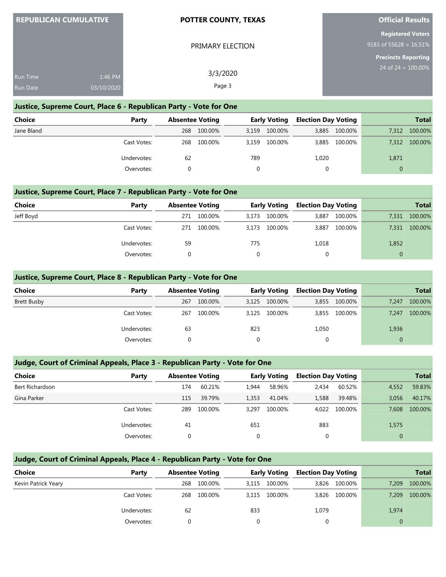| <b>REPUBLICAN CUMULATIVE</b> |  |
|------------------------------|--|
|                              |  |
|                              |  |

#### **POTTER COUNTY, TEXAS**

PRIMARY ELECTION

#### **Official Results**

**Registered Voters** 9183 of 55628 = 16.51%

**Precincts Reporting**

| <b>Run Time</b> | 1:46 PM    | 3/3/2020 | 24 of $24 = 100.00\%$ |
|-----------------|------------|----------|-----------------------|
| <b>Run Date</b> | 03/10/2020 | Page 3   |                       |

#### **Justice, Supreme Court, Place 6 - Republican Party - Vote for One**

| <b>Choice</b> | Party       | <b>Absentee Voting</b> |         | <b>Early Voting</b> |         | <b>Election Day Voting</b> |               | Total |         |
|---------------|-------------|------------------------|---------|---------------------|---------|----------------------------|---------------|-------|---------|
| Jane Bland    |             | 268                    | 100.00% | 3.159               | 100.00% |                            | 3,885 100.00% | 7,312 | 100.00% |
|               | Cast Votes: | 268                    | 100.00% | 3.159               | 100.00% |                            | 3,885 100.00% | 7,312 | 100.00% |
|               | Undervotes: | 62                     |         | 789                 |         | 1,020                      |               | 1,871 |         |
|               | Overvotes:  |                        |         | $\Omega$            |         |                            |               | 0     |         |

### **Justice, Supreme Court, Place 7 - Republican Party - Vote for One**

| <b>Choice</b> | Party       |     | <b>Absentee Voting</b> |       | <b>Early Voting</b> | <b>Election Day Voting</b> |         |       | <b>Total</b> |
|---------------|-------------|-----|------------------------|-------|---------------------|----------------------------|---------|-------|--------------|
| Jeff Boyd     |             | 271 | 100.00%                | 3,173 | 100.00%             | 3,887                      | 100.00% | 7,331 | 100.00%      |
|               | Cast Votes: | 271 | 100.00%                |       | 3,173 100.00%       | 3.887                      | 100.00% | 7,331 | 100.00%      |
|               | Undervotes: | 59  |                        | 775   |                     | 1,018                      |         | 1,852 |              |
|               | Overvotes:  |     |                        |       |                     | $\Omega$                   |         |       |              |

#### **Justice, Supreme Court, Place 8 - Republican Party - Vote for One**

| <b>Choice</b>      | Party       | <b>Absentee Voting</b> |         |     | <b>Early Voting</b> | <b>Election Day Voting</b> |               |                | <b>Total</b> |
|--------------------|-------------|------------------------|---------|-----|---------------------|----------------------------|---------------|----------------|--------------|
| <b>Brett Busby</b> |             | 267                    | 100.00% |     | 3,125 100.00%       |                            | 3,855 100.00% | 7,247          | 100.00%      |
|                    | Cast Votes: | 267                    | 100.00% |     | 3,125 100.00%       | 3,855                      | 100.00%       | 7,247          | 100.00%      |
|                    | Undervotes: | 63                     |         | 823 |                     | 1,050                      |               | 1,936          |              |
|                    | Overvotes:  |                        |         | 0   |                     | 0                          |               | $\overline{0}$ |              |
|                    |             |                        |         |     |                     |                            |               |                |              |

### **Judge, Court of Criminal Appeals, Place 3 - Republican Party - Vote for One**

| Choice          | Party       | <b>Absentee Voting</b> |         |       | <b>Early Voting</b> | <b>Election Day Voting</b> |         |          | <b>Total</b> |
|-----------------|-------------|------------------------|---------|-------|---------------------|----------------------------|---------|----------|--------------|
| Bert Richardson |             | 174                    | 60.21%  | 1,944 | 58.96%              | 2,434                      | 60.52%  | 4,552    | 59.83%       |
| Gina Parker     |             | 115                    | 39.79%  | 1,353 | 41.04%              | 1,588                      | 39.48%  | 3,056    | 40.17%       |
|                 | Cast Votes: | 289                    | 100.00% | 3.297 | 100.00%             | 4.022                      | 100.00% | 7.608    | 100.00%      |
|                 | Undervotes: | 41                     |         | 651   |                     | 883                        |         | 1,575    |              |
|                 | Overvotes:  |                        |         | 0     |                     |                            |         | $\Omega$ |              |

## **Judge, Court of Criminal Appeals, Place 4 - Republican Party - Vote for One**

| <b>Choice</b>       | Party       | <b>Absentee Voting</b> |         | <b>Early Voting</b> |         | <b>Election Day Voting</b> |               |       | <b>Total</b> |
|---------------------|-------------|------------------------|---------|---------------------|---------|----------------------------|---------------|-------|--------------|
| Kevin Patrick Yeary |             | 268                    | 100.00% | 3,115               | 100.00% |                            | 3,826 100.00% | 7,209 | 100.00%      |
|                     | Cast Votes: | 268                    | 100.00% | 3.115               | 100.00% |                            | 3,826 100.00% | 7,209 | 100.00%      |
|                     | Undervotes: | 62                     |         | 833                 |         | 1,079                      |               | 1,974 |              |
|                     | Overvotes:  |                        |         | $\Omega$            |         |                            |               | 0     |              |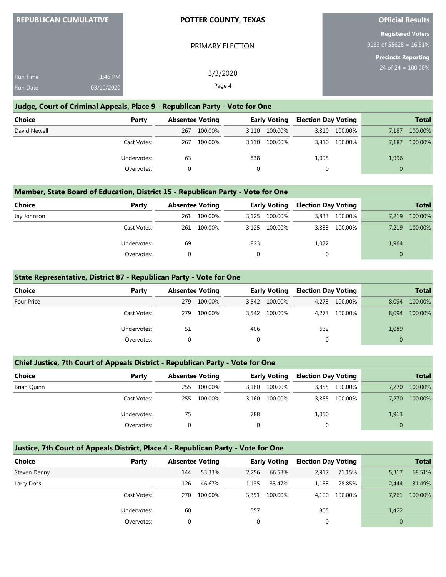| <b>REPUBLICAN CUMULATIVE</b> |                       | <b>POTTER COUNTY, TEXAS</b> | <b>Official Results</b>                               |  |  |
|------------------------------|-----------------------|-----------------------------|-------------------------------------------------------|--|--|
|                              |                       | PRIMARY ELECTION            | <b>Registered Voters</b><br>9183 of 55628 = $16.51\%$ |  |  |
| Run Time<br><b>Run Date</b>  | 1:46 PM<br>03/10/2020 | 3/3/2020<br>Page 4          | <b>Precincts Reporting</b><br>24 of $24 = 100.00\%$   |  |  |

#### **Judge, Court of Criminal Appeals, Place 9 - Republican Party - Vote for One**

| Choice       | Party       |     | <b>Absentee Voting</b> |       | <b>Early Voting</b> |       | <b>Election Day Voting</b> |       | <b>Total</b> |
|--------------|-------------|-----|------------------------|-------|---------------------|-------|----------------------------|-------|--------------|
| David Newell |             | 267 | 100.00%                | 3,110 | 100.00%             | 3,810 | 100.00%                    | 7,187 | 100.00%      |
|              | Cast Votes: | 267 | 100.00%                | 3.110 | 100.00%             | 3,810 | 100.00%                    | 7,187 | 100.00%      |
|              | Undervotes: | 63  |                        | 838   |                     | 1,095 |                            | 1,996 |              |
|              | Overvotes:  |     |                        |       |                     |       |                            |       |              |

#### **Member, State Board of Education, District 15 - Republican Party - Vote for One**

| <b>Choice</b> | Party       |     | <b>Absentee Voting</b> |       | <b>Early Voting</b> | <b>Election Day Voting</b> |         |          | <b>Total</b> |
|---------------|-------------|-----|------------------------|-------|---------------------|----------------------------|---------|----------|--------------|
| Jay Johnson   |             | 261 | 100.00%                | 3,125 | 100.00%             | 3,833                      | 100.00% | 7.219    | 100.00%      |
|               | Cast Votes: | 261 | 100.00%                |       | 3.125 100.00%       | 3,833                      | 100.00% | 7.219    | 100.00%      |
|               | Undervotes: | 69  |                        | 823   |                     | 1,072                      |         | 1,964    |              |
|               | Overvotes:  |     |                        |       |                     |                            |         | $\Omega$ |              |

#### **State Representative, District 87 - Republican Party - Vote for One**

| <b>Choice</b> | Party       | <b>Absentee Voting</b> |         |       | <b>Early Voting</b> | <b>Election Day Voting</b> |         |          | <b>Total</b> |
|---------------|-------------|------------------------|---------|-------|---------------------|----------------------------|---------|----------|--------------|
| Four Price    |             | 279                    | 100.00% |       | 3,542 100.00%       | 4.273                      | 100.00% | 8.094    | 100.00%      |
|               | Cast Votes: | 279                    | 100.00% | 3,542 | 100.00%             | 4.273                      | 100.00% | 8.094    | 100.00%      |
|               | Undervotes: | 51                     |         | 406   |                     | 632                        |         | 1,089    |              |
|               | Overvotes:  |                        |         |       |                     | 0                          |         | $\Omega$ |              |

#### **Chief Justice, 7th Court of Appeals District - Republican Party - Vote for One**

| <b>Choice</b> | Party       | <b>Absentee Voting</b> |         |       | Early Voting | <b>Election Day Voting</b> |               |          | <b>Total</b> |
|---------------|-------------|------------------------|---------|-------|--------------|----------------------------|---------------|----------|--------------|
| Brian Quinn   |             | 255                    | 100.00% | 3.160 | 100.00%      |                            | 3,855 100.00% | 7.270    | 100.00%      |
|               | Cast Votes: | 255                    | 100.00% | 3,160 | 100.00%      |                            | 3,855 100.00% | 7.270    | 100.00%      |
|               | Undervotes: | 75                     |         | 788   |              | 1,050                      |               | 1,913    |              |
|               | Overvotes:  |                        |         | 0     |              |                            |               | $\Omega$ |              |

### **Justice, 7th Court of Appeals District, Place 4 - Republican Party - Vote for One**

| Choice       | Party       | <b>Absentee Voting</b> |         |       | <b>Early Voting</b> | <b>Election Day Voting</b> |         |       | <b>Total</b> |
|--------------|-------------|------------------------|---------|-------|---------------------|----------------------------|---------|-------|--------------|
| Steven Denny |             | 144                    | 53.33%  | 2.256 | 66.53%              | 2,917                      | 71.15%  | 5,317 | 68.51%       |
| Larry Doss   |             | 126                    | 46.67%  | 1,135 | 33.47%              | 1,183                      | 28.85%  | 2.444 | 31.49%       |
|              | Cast Votes: | 270                    | 100.00% | 3,391 | 100.00%             | 4.100                      | 100.00% | 7.761 | 100.00%      |
|              | Undervotes: | 60                     |         | 557   |                     | 805                        |         | 1,422 |              |
|              | Overvotes:  |                        |         | 0     |                     |                            |         |       |              |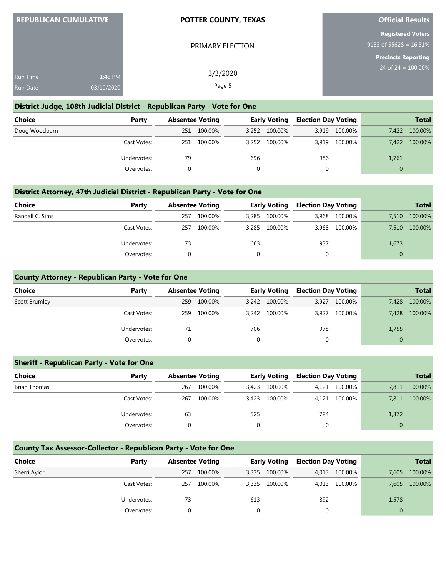| <b>REPUBLICAN CUMULATIVE</b> |                       | <b>POTTER COUNTY, TEXAS</b> | <b>Official Results</b>                               |
|------------------------------|-----------------------|-----------------------------|-------------------------------------------------------|
|                              |                       | PRIMARY ELECTION            | <b>Registered Voters</b><br>9183 of 55628 = $16.51\%$ |
| Run Time<br><b>Run Date</b>  | 1:46 PM<br>03/10/2020 | 3/3/2020<br>Page 5          | <b>Precincts Reporting</b><br>24 of $24 = 100.00\%$   |
|                              |                       |                             |                                                       |

#### **District Judge, 108th Judicial District - Republican Party - Vote for One**

<u>REPUBLICAN CUMULATION CUMULATION CUMULATION CUMULATION CUMULATION CUMULATION CUMULATION CUMULATION CUMULATION CU</u>

| <b>Choice</b> | Party       | <b>Absentee Voting</b> |         |     | <b>Early Voting</b> | <b>Election Day Voting</b> |         |          | <b>Total</b> |
|---------------|-------------|------------------------|---------|-----|---------------------|----------------------------|---------|----------|--------------|
| Doug Woodburn |             | 251                    | 100.00% |     | 3,252 100.00%       | 3.919                      | 100.00% | 7.422    | 100.00%      |
|               | Cast Votes: | 251                    | 100.00% |     | 3,252 100.00%       | 3.919                      | 100.00% | 7.422    | 100.00%      |
|               | Undervotes: | 79                     |         | 696 |                     | 986                        |         | 1,761    |              |
|               | Overvotes:  |                        |         |     |                     | 0                          |         | $\Omega$ |              |

#### **District Attorney, 47th Judicial District - Republican Party - Vote for One**

| Choice          | Party       |     | <b>Absentee Voting</b> |       | <b>Early Voting</b> | <b>Election Day Voting</b> |         |       | <b>Total</b> |
|-----------------|-------------|-----|------------------------|-------|---------------------|----------------------------|---------|-------|--------------|
| Randall C. Sims |             | 257 | 100.00%                | 3,285 | 100.00%             | 3,968                      | 100.00% | 7,510 | 100.00%      |
|                 | Cast Votes: | 257 | 100.00%                | 3.285 | 100.00%             | 3.968                      | 100.00% | 7.510 | 100.00%      |
|                 | Undervotes: | 73  |                        | 663   |                     | 937                        |         | 1,673 |              |
|                 | Overvotes:  |     |                        |       |                     |                            |         |       |              |

#### **County Attorney - Republican Party - Vote for One**

| <b>Choice</b> | Party       | <b>Absentee Voting</b> |         | <b>Early Voting</b> |         | <b>Election Day Voting</b> |         |          | <b>Total</b> |
|---------------|-------------|------------------------|---------|---------------------|---------|----------------------------|---------|----------|--------------|
| Scott Brumley |             | 259                    | 100.00% | 3.242               | 100.00% | 3.927                      | 100.00% | 7.428    | 100.00%      |
|               | Cast Votes: | 259                    | 100.00% | 3.242               | 100.00% | 3.927                      | 100.00% | 7,428    | 100.00%      |
|               | Undervotes: | 71                     |         | 706                 |         | 978                        |         | 1,755    |              |
|               | Overvotes:  |                        |         |                     |         |                            |         | $\Omega$ |              |

#### **Sheriff - Republican Party - Vote for One**

| <b>Choice</b> | Party       | <b>Absentee Voting</b> |         |       | <b>Early Voting</b> | <b>Election Day Voting</b> |         |          | <b>Total</b> |
|---------------|-------------|------------------------|---------|-------|---------------------|----------------------------|---------|----------|--------------|
| Brian Thomas  |             | 267                    | 100.00% | 3.423 | 100.00%             | 4.121                      | 100.00% | 7.811    | 100.00%      |
|               | Cast Votes: | 267                    | 100.00% | 3,423 | 100.00%             | 4.121                      | 100.00% | 7.811    | 100.00%      |
|               | Undervotes: | 63                     |         | 525   |                     | 784                        |         | 1,372    |              |
|               | Overvotes:  |                        |         | 0     |                     | 0                          |         | $\Omega$ |              |

## **County Tax Assessor-Collector - Republican Party - Vote for One**

| <b>Choice</b> | Party       |     | <b>Absentee Voting</b> |       | <b>Early Voting</b> |     | <b>Election Day Voting</b> |       | <b>Total</b> |
|---------------|-------------|-----|------------------------|-------|---------------------|-----|----------------------------|-------|--------------|
| Sherri Aylor  |             | 257 | 100.00%                | 3,335 | 100.00%             |     | 4,013 100.00%              | 7.605 | 100.00%      |
|               | Cast Votes: | 257 | 100.00%                | 3.335 | 100.00%             |     | 4,013 100.00%              | 7.605 | 100.00%      |
|               | Undervotes: | 73  |                        | 613   |                     | 892 |                            | 1,578 |              |
|               | Overvotes:  |     |                        |       |                     |     |                            |       |              |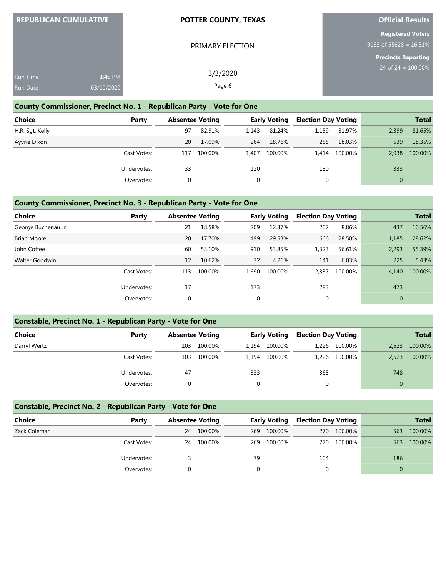| <b>REPUBLICAN CUMULATIVE</b> |            | <b>POTTER COUNTY, TEXAS</b> | <b>Official Results</b>                               |
|------------------------------|------------|-----------------------------|-------------------------------------------------------|
|                              |            | PRIMARY ELECTION            | <b>Registered Voters</b><br>9183 of 55628 = $16.51\%$ |
|                              |            |                             | <b>Precincts Reporting</b><br>$24$ of 24 = 100.00%    |
| Run Time                     | 1:46 PM    | 3/3/2020                    |                                                       |
| <b>Run Date</b>              | 03/10/2020 | Page 6                      |                                                       |

#### **County Commissioner, Precinct No. 1 - Republican Party - Vote for One**

| <b>Choice</b>   | Party       | <b>Absentee Voting</b> |         |       | <b>Early Voting</b> | <b>Election Day Voting</b> |         |          | <b>Total</b> |
|-----------------|-------------|------------------------|---------|-------|---------------------|----------------------------|---------|----------|--------------|
| H.R. Sqt. Kelly |             | 97                     | 82.91%  | 1.143 | 81.24%              | 1.159                      | 81.97%  | 2,399    | 81.65%       |
| Ayvrie Dixon    |             | 20                     | 17.09%  | 264   | 18.76%              | 255                        | 18.03%  | 539      | 18.35%       |
|                 | Cast Votes: | 117                    | 100.00% | 1.407 | 100.00%             | 1.414                      | 100.00% | 2.938    | 100.00%      |
|                 | Undervotes: | 33                     |         | 120   |                     | 180                        |         | 333      |              |
|                 | Overvotes:  |                        |         |       |                     |                            |         | $\Omega$ |              |

#### **County Commissioner, Precinct No. 3 - Republican Party - Vote for One**

| <b>Choice</b>         | Party       | <b>Absentee Voting</b> |         |              | <b>Early Voting</b> | <b>Election Day Voting</b> |         |              | <b>Total</b> |
|-----------------------|-------------|------------------------|---------|--------------|---------------------|----------------------------|---------|--------------|--------------|
| George Buchenau Jr.   |             | 21                     | 18.58%  | 209          | 12.37%              | 207                        | 8.86%   | 437          | 10.56%       |
| <b>Brian Moore</b>    |             | 20                     | 17.70%  | 499          | 29.53%              | 666                        | 28.50%  | 1,185        | 28.62%       |
| John Coffee           |             | 60                     | 53.10%  | 910          | 53.85%              | 1,323                      | 56.61%  | 2,293        | 55.39%       |
| <b>Walter Goodwin</b> |             | 12                     | 10.62%  | 72           | 4.26%               | 141                        | 6.03%   | 225          | 5.43%        |
|                       | Cast Votes: | 113                    | 100.00% | 1.690        | 100.00%             | 2,337                      | 100.00% | 4.140        | 100.00%      |
|                       | Undervotes: | 17                     |         | 173          |                     | 283                        |         | 473          |              |
|                       | Overvotes:  | 0                      |         | $\mathbf{0}$ |                     | $\mathbf 0$                |         | $\mathbf{0}$ |              |

#### **Constable, Precinct No. 1 - Republican Party - Vote for One**

| Choice       | Party       |     | <b>Absentee Voting</b> |       | <b>Early Voting</b> |     | <b>Election Day Voting</b> |       | <b>Total</b> |
|--------------|-------------|-----|------------------------|-------|---------------------|-----|----------------------------|-------|--------------|
| Darryl Wertz |             | 103 | 100.00%                | 1.194 | 100.00%             |     | 1,226 100.00%              | 2,523 | 100.00%      |
|              | Cast Votes: | 103 | 100.00%                | 1.194 | 100.00%             |     | 1,226 100.00%              | 2,523 | 100.00%      |
|              | Undervotes: | 47  |                        | 333   |                     | 368 |                            | 748   |              |
|              | Overvotes:  |     |                        |       |                     |     |                            |       |              |

### **Constable, Precinct No. 2 - Republican Party - Vote for One**

| <b>Choice</b> | Party       | <b>Absentee Voting</b> |         |     | <b>Early Voting</b> | <b>Election Day Voting</b> |             |     | <b>Total</b> |
|---------------|-------------|------------------------|---------|-----|---------------------|----------------------------|-------------|-----|--------------|
| Zack Coleman  |             | 24                     | 100.00% | 269 | 100.00%             |                            | 270 100.00% | 563 | 100.00%      |
|               | Cast Votes: | 24                     | 100.00% | 269 | 100.00%             | 270                        | 100.00%     | 563 | 100.00%      |
|               | Undervotes: |                        |         | 79  |                     | 104                        |             | 186 |              |
|               | Overvotes:  |                        |         |     |                     |                            |             |     |              |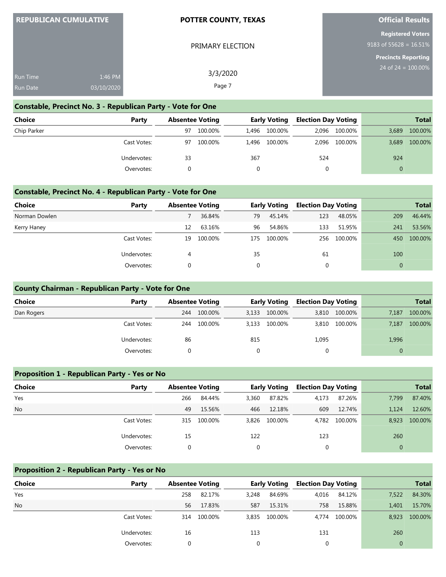| <b>REPUBLICAN CUMULATIVE</b> |
|------------------------------|
|------------------------------|

#### **POTTER COUNTY, TEXAS**

PRIMARY ELECTION

## **Official Results**

**Registered Voters** 9183 of 55628 = 16.51%

**Precincts Reporting**

 $.00%$ 

| <b>Run Time</b> |                       | 3/3/2020 | $24$ of $24 = 100$ |
|-----------------|-----------------------|----------|--------------------|
| Run Date        | 1:46 PM<br>03/10/2020 | Page 7   |                    |

## **Constable, Precinct No. 3 - Republican Party - Vote for One**

| <b>Choice</b> | Party       | <b>Absentee Voting</b> |         | <b>Early Voting</b> |               | <b>Election Day Voting</b> |               |          | <b>Total</b> |
|---------------|-------------|------------------------|---------|---------------------|---------------|----------------------------|---------------|----------|--------------|
| Chip Parker   |             | 97                     | 100.00% | 1.496               | 100.00%       | 2.096                      | 100.00%       | 3.689    | 100.00%      |
|               | Cast Votes: | 97                     | 100.00% |                     | 1.496 100.00% |                            | 2,096 100.00% | 3,689    | 100.00%      |
|               | Undervotes: | 33                     |         | 367                 |               | 524                        |               | 924      |              |
|               | Overvotes:  |                        |         |                     |               | 0                          |               | $\Omega$ |              |

#### **Constable, Precinct No. 4 - Republican Party - Vote for One**

| <b>Choice</b> | Party       | <b>Absentee Voting</b> |         |     | <b>Early Voting</b> | <b>Election Day Voting</b> |         |              | <b>Total</b> |
|---------------|-------------|------------------------|---------|-----|---------------------|----------------------------|---------|--------------|--------------|
| Norman Dowlen |             |                        | 36.84%  | 79  | 45.14%              | 123                        | 48.05%  | 209          | 46.44%       |
| Kerry Haney   |             | 12                     | 63.16%  | 96  | 54.86%              | 133                        | 51.95%  | 241          | 53.56%       |
|               | Cast Votes: | 19                     | 100.00% | 175 | 100.00%             | 256                        | 100.00% | 450          | 100.00%      |
|               | Undervotes: | 4                      |         | 35  |                     | 61                         |         | 100          |              |
|               | Overvotes:  | 0                      |         |     |                     | 0                          |         | $\mathbf{0}$ |              |

#### **County Chairman - Republican Party - Vote for One**

| <b>Choice</b> | Party       |     | <b>Absentee Voting</b> |       | <b>Early Voting</b> |       | <b>Election Day Voting</b> |       | <b>Total</b> |
|---------------|-------------|-----|------------------------|-------|---------------------|-------|----------------------------|-------|--------------|
| Dan Rogers    |             | 244 | 100.00%                | 3.133 | 100.00%             |       | 3,810 100.00%              | 7,187 | 100.00%      |
|               | Cast Votes: | 244 | 100.00%                | 3,133 | 100.00%             | 3,810 | 100.00%                    | 7,187 | 100.00%      |
|               | Undervotes: | 86  |                        | 815   |                     | 1,095 |                            | 1,996 |              |
|               | Overvotes:  |     |                        |       |                     |       |                            |       |              |

#### **Proposition 1 - Republican Party - Yes or No**

| Choice    | Party       | <b>Absentee Voting</b> |         |             | <b>Early Voting</b> | <b>Election Day Voting</b> |         |              | <b>Total</b> |
|-----------|-------------|------------------------|---------|-------------|---------------------|----------------------------|---------|--------------|--------------|
| Yes       |             | 266                    | 84.44%  | 3,360       | 87.82%              | 4,173                      | 87.26%  | 7,799        | 87.40%       |
| <b>No</b> |             | 49                     | 15.56%  | 466         | 12.18%              | 609                        | 12.74%  | 1,124        | 12.60%       |
|           | Cast Votes: | 315                    | 100.00% | 3.826       | 100.00%             | 4,782                      | 100.00% | 8,923        | 100.00%      |
|           | Undervotes: | 15                     |         | 122         |                     | 123                        |         | 260          |              |
|           | Overvotes:  |                        |         | $\mathbf 0$ |                     |                            |         | $\mathbf{0}$ |              |

#### **Proposition 2 - Republican Party - Yes or No**

| <b>Choice</b> | Party       | <b>Absentee Voting</b> |         |          | <b>Early Voting</b> | <b>Election Day Voting</b> |         |       | <b>Total</b> |
|---------------|-------------|------------------------|---------|----------|---------------------|----------------------------|---------|-------|--------------|
| Yes           |             | 258                    | 82.17%  | 3,248    | 84.69%              | 4,016                      | 84.12%  | 7,522 | 84.30%       |
| No            |             | 56                     | 17.83%  | 587      | 15.31%              | 758                        | 15.88%  | 1.401 | 15.70%       |
|               | Cast Votes: | 314                    | 100.00% | 3,835    | 100.00%             | 4.774                      | 100.00% | 8,923 | 100.00%      |
|               | Undervotes: | 16                     |         | 113      |                     | 131                        |         | 260   |              |
|               | Overvotes:  |                        |         | $\Omega$ |                     |                            |         |       |              |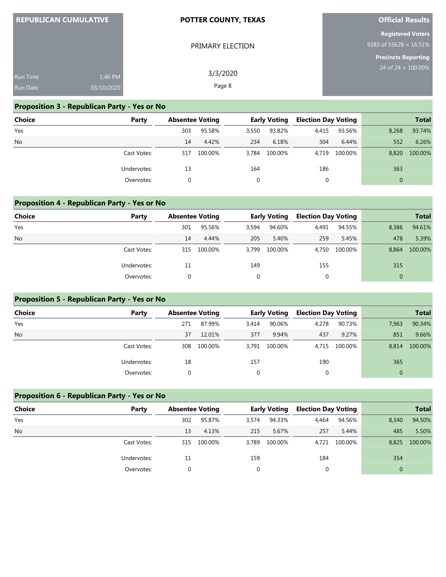| <b>REPUBLICAN CUMULATIVE</b> |            | <b>POTTER COUNTY, TEXAS</b> | <b>Official Results</b>                               |  |  |
|------------------------------|------------|-----------------------------|-------------------------------------------------------|--|--|
|                              |            | PRIMARY ELECTION            | <b>Registered Voters</b><br>9183 of 55628 = $16.51\%$ |  |  |
| <b>Run Time</b>              | 1:46 PM    | 3/3/2020<br>Page 8          | <b>Precincts Reporting</b><br>24 of $24 = 100.00\%$   |  |  |
| <b>Run Date</b>              | 03/10/2020 |                             |                                                       |  |  |

**Official Results**

### **Proposition 3 - Republican Party - Yes or No**

**REPUBLICAN CUMULATIVE** 

| <b>Choice</b> | Party       | <b>Absentee Voting</b> |         |       | <b>Early Voting</b> | <b>Election Day Voting</b> |         |          | <b>Total</b> |
|---------------|-------------|------------------------|---------|-------|---------------------|----------------------------|---------|----------|--------------|
| Yes           |             | 303                    | 95.58%  | 3,550 | 93.82%              | 4,415                      | 93.56%  | 8,268    | 93.74%       |
| <b>No</b>     |             | 14                     | 4.42%   | 234   | 6.18%               | 304                        | 6.44%   | 552      | 6.26%        |
|               | Cast Votes: | 317                    | 100.00% | 3.784 | 100.00%             | 4.719                      | 100.00% | 8,820    | 100.00%      |
|               | Undervotes: | 13                     |         | 164   |                     | 186                        |         | 363      |              |
|               | Overvotes:  |                        |         |       |                     | 0                          |         | $\Omega$ |              |

## **Proposition 4 - Republican Party - Yes or No**

| <b>Choice</b> | Party       | <b>Absentee Voting</b> |         |             | <b>Early Voting</b> | <b>Election Day Voting</b> |         |              | <b>Total</b> |
|---------------|-------------|------------------------|---------|-------------|---------------------|----------------------------|---------|--------------|--------------|
| Yes           |             | 301                    | 95.56%  | 3,594       | 94.60%              | 4,491                      | 94.55%  | 8,386        | 94.61%       |
| <b>No</b>     |             | 14                     | 4.44%   | 205         | 5.40%               | 259                        | 5.45%   | 478          | 5.39%        |
|               | Cast Votes: | 315                    | 100.00% | 3.799       | 100.00%             | 4.750                      | 100.00% | 8.864        | 100.00%      |
|               | Undervotes: | 11                     |         | 149         |                     | 155                        |         | 315          |              |
|               | Overvotes:  |                        |         | $\mathbf 0$ |                     | 0                          |         | $\mathbf{0}$ |              |

### **Proposition 5 - Republican Party - Yes or No**

| Choice    | Party       | <b>Absentee Voting</b> |         |          | <b>Early Voting</b> | <b>Election Day Voting</b> |               |              | <b>Total</b> |
|-----------|-------------|------------------------|---------|----------|---------------------|----------------------------|---------------|--------------|--------------|
| Yes       |             | 271                    | 87.99%  | 3,414    | 90.06%              | 4,278                      | 90.73%        | 7,963        | 90.34%       |
| <b>No</b> |             | 37                     | 12.01%  | 377      | 9.94%               | 437                        | 9.27%         | 851          | 9.66%        |
|           | Cast Votes: | 308                    | 100.00% | 3.791    | 100.00%             |                            | 4,715 100.00% | 8.814        | 100.00%      |
|           | Undervotes: | 18                     |         | 157      |                     | 190                        |               | 365          |              |
|           | Overvotes:  |                        |         | $\Omega$ |                     | 0                          |               | $\mathbf{0}$ |              |

### **Proposition 6 - Republican Party - Yes or No**

| <b>Choice</b> | Party       | <b>Absentee Voting</b> |         |       | <b>Early Voting</b> | <b>Election Day Voting</b> |               |          | <b>Total</b> |
|---------------|-------------|------------------------|---------|-------|---------------------|----------------------------|---------------|----------|--------------|
| Yes           |             | 302                    | 95.87%  | 3,574 | 94.33%              | 4,464                      | 94.56%        | 8,340    | 94.50%       |
| <b>No</b>     |             | 13                     | 4.13%   | 215   | 5.67%               | 257                        | 5.44%         | 485      | 5.50%        |
|               | Cast Votes: | 315                    | 100.00% | 3.789 | 100.00%             |                            | 4,721 100.00% | 8,825    | 100.00%      |
|               | Undervotes: | 11                     |         | 159   |                     | 184                        |               | 354      |              |
|               | Overvotes:  |                        |         |       |                     |                            |               | $\Omega$ |              |